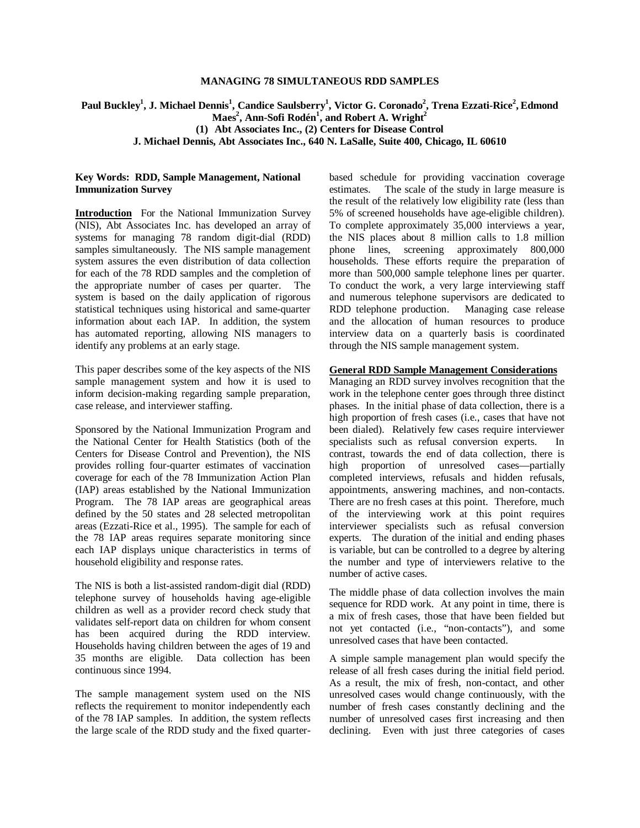### **MANAGING 78 SIMULTANEOUS RDD SAMPLES**

# $\mathbf{Paul~Buckley}^{1}, \mathbf{J}.$  Michael Dennis $^{1}, \mathbf{C}$ andice Saulsberry $^{1}, \mathbf{Victor~G.~Coronado}^{2},$  Trena Ezzati-Rice $^{2}, \mathbf{Edmond}^{2}$  $\mathbf{M}\mathbf{a}\mathbf{e}\mathbf{s}^2$ , Ann-Sofi Rodén<sup>1</sup>, and Robert A. Wright<sup>2</sup> **(1) Abt Associates Inc., (2) Centers for Disease Control J. Michael Dennis, Abt Associates Inc., 640 N. LaSalle, Suite 400, Chicago, IL 60610**

### **Key Words: RDD, Sample Management, National Immunization Survey**

**Introduction** For the National Immunization Survey (NIS), Abt Associates Inc. has developed an array of systems for managing 78 random digit-dial (RDD) samples simultaneously. The NIS sample management system assures the even distribution of data collection for each of the 78 RDD samples and the completion of the appropriate number of cases per quarter. The system is based on the daily application of rigorous statistical techniques using historical and same-quarter information about each IAP. In addition, the system has automated reporting, allowing NIS managers to identify any problems at an early stage.

This paper describes some of the key aspects of the NIS sample management system and how it is used to inform decision-making regarding sample preparation, case release, and interviewer staffing.

Sponsored by the National Immunization Program and the National Center for Health Statistics (both of the Centers for Disease Control and Prevention), the NIS provides rolling four-quarter estimates of vaccination coverage for each of the 78 Immunization Action Plan (IAP) areas established by the National Immunization Program. The 78 IAP areas are geographical areas defined by the 50 states and 28 selected metropolitan areas (Ezzati-Rice et al., 1995). The sample for each of the 78 IAP areas requires separate monitoring since each IAP displays unique characteristics in terms of household eligibility and response rates.

The NIS is both a list-assisted random-digit dial (RDD) telephone survey of households having age-eligible children as well as a provider record check study that validates self-report data on children for whom consent has been acquired during the RDD interview. Households having children between the ages of 19 and 35 months are eligible. Data collection has been continuous since 1994.

The sample management system used on the NIS reflects the requirement to monitor independently each of the 78 IAP samples. In addition, the system reflects the large scale of the RDD study and the fixed quarterbased schedule for providing vaccination coverage estimates. The scale of the study in large measure is the result of the relatively low eligibility rate (less than 5% of screened households have age-eligible children). To complete approximately 35,000 interviews a year, the NIS places about 8 million calls to 1.8 million phone lines, screening approximately 800,000 households. These efforts require the preparation of more than 500,000 sample telephone lines per quarter. To conduct the work, a very large interviewing staff and numerous telephone supervisors are dedicated to RDD telephone production. Managing case release and the allocation of human resources to produce interview data on a quarterly basis is coordinated through the NIS sample management system.

#### **General RDD Sample Management Considerations**

Managing an RDD survey involves recognition that the work in the telephone center goes through three distinct phases. In the initial phase of data collection, there is a high proportion of fresh cases (i.e., cases that have not been dialed). Relatively few cases require interviewer specialists such as refusal conversion experts. In contrast, towards the end of data collection, there is high proportion of unresolved cases— partially completed interviews, refusals and hidden refusals, appointments, answering machines, and non-contacts. There are no fresh cases at this point. Therefore, much of the interviewing work at this point requires interviewer specialists such as refusal conversion experts. The duration of the initial and ending phases is variable, but can be controlled to a degree by altering the number and type of interviewers relative to the number of active cases.

The middle phase of data collection involves the main sequence for RDD work. At any point in time, there is a mix of fresh cases, those that have been fielded but not yet contacted (i.e., "non-contacts"), and some unresolved cases that have been contacted.

A simple sample management plan would specify the release of all fresh cases during the initial field period. As a result, the mix of fresh, non-contact, and other unresolved cases would change continuously, with the number of fresh cases constantly declining and the number of unresolved cases first increasing and then declining. Even with just three categories of cases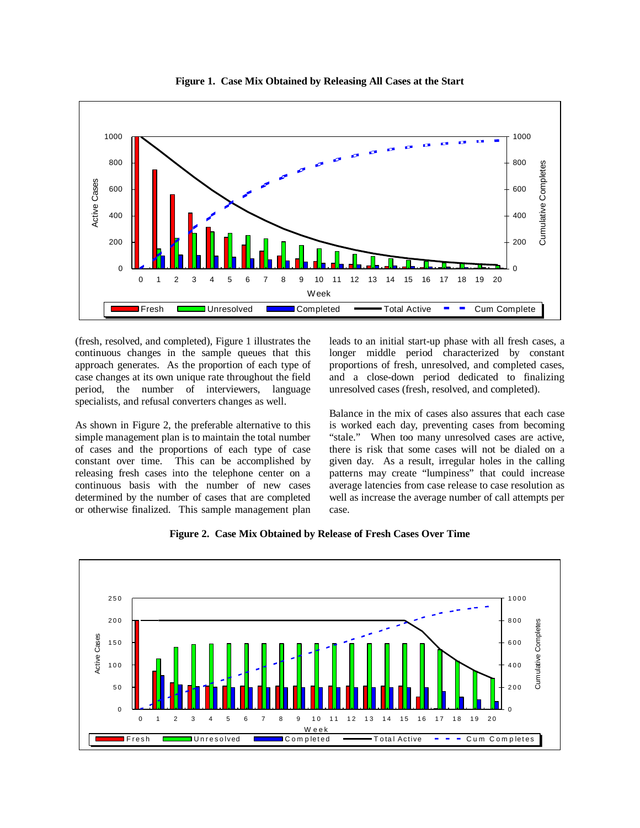

**Figure 1. Case Mix Obtained by Releasing All Cases at the Start** 

(fresh, resolved, and completed), Figure 1 illustrates the continuous changes in the sample queues that this approach generates. As the proportion of each type of case changes at its own unique rate throughout the field period, the number of interviewers, language specialists, and refusal converters changes as well.

As shown in Figure 2, the preferable alternative to this simple management plan is to maintain the total number of cases and the proportions of each type of case constant over time. This can be accomplished by releasing fresh cases into the telephone center on a continuous basis with the number of new cases determined by the number of cases that are completed or otherwise finalized. This sample management plan

leads to an initial start-up phase with all fresh cases, a longer middle period characterized by constant proportions of fresh, unresolved, and completed cases, and a close-down period dedicated to finalizing unresolved cases (fresh, resolved, and completed).

Balance in the mix of cases also assures that each case is worked each day, preventing cases from becoming "stale." When too many unresolved cases are active, there is risk that some cases will not be dialed on a given day. As a result, irregular holes in the calling patterns may create "lumpiness" that could increase average latencies from case release to case resolution as well as increase the average number of call attempts per case.



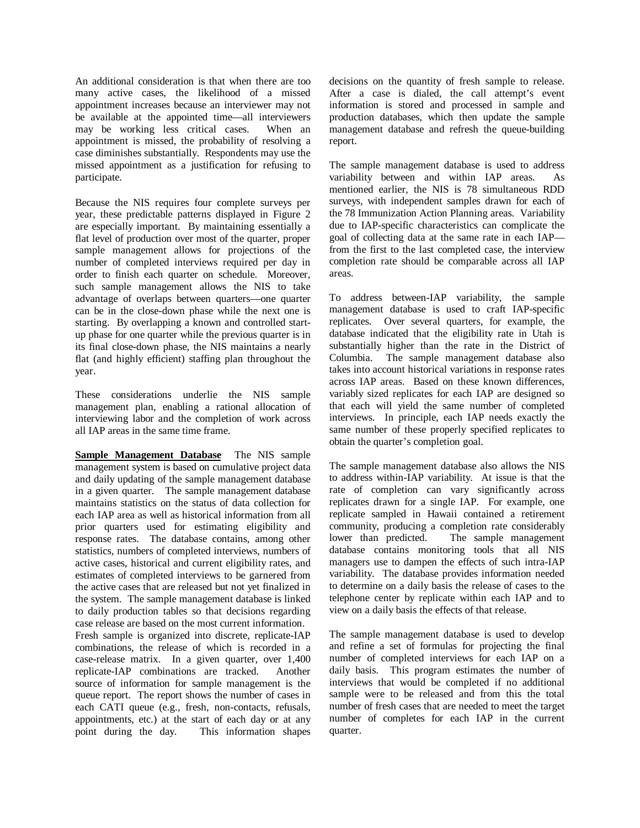An additional consideration is that when there are too many active cases, the likelihood of a missed appointment increases because an interviewer may not be available at the appointed time— all interviewers may be working less critical cases. When an appointment is missed, the probability of resolving a case diminishes substantially. Respondents may use the missed appointment as a justification for refusing to participate.

Because the NIS requires four complete surveys per year, these predictable patterns displayed in Figure 2 are especially important. By maintaining essentially a flat level of production over most of the quarter, proper sample management allows for projections of the number of completed interviews required per day in order to finish each quarter on schedule. Moreover, such sample management allows the NIS to take advantage of overlaps between quarters— one quarter can be in the close-down phase while the next one is starting. By overlapping a known and controlled startup phase for one quarter while the previous quarter is in its final close-down phase, the NIS maintains a nearly flat (and highly efficient) staffing plan throughout the year.

These considerations underlie the NIS sample management plan, enabling a rational allocation of interviewing labor and the completion of work across all IAP areas in the same time frame.

**Sample Management Database** The NIS sample management system is based on cumulative project data and daily updating of the sample management database in a given quarter. The sample management database maintains statistics on the status of data collection for each IAP area as well as historical information from all prior quarters used for estimating eligibility and response rates. The database contains, among other statistics, numbers of completed interviews, numbers of active cases, historical and current eligibility rates, and estimates of completed interviews to be garnered from the active cases that are released but not yet finalized in the system. The sample management database is linked to daily production tables so that decisions regarding case release are based on the most current information.

Fresh sample is organized into discrete, replicate-IAP combinations, the release of which is recorded in a case-release matrix. In a given quarter, over 1,400 replicate-IAP combinations are tracked. Another source of information for sample management is the queue report. The report shows the number of cases in each CATI queue (e.g., fresh, non-contacts, refusals, appointments, etc.) at the start of each day or at any point during the day. This information shapes

decisions on the quantity of fresh sample to release. After a case is dialed, the call attempt's event information is stored and processed in sample and production databases, which then update the sample management database and refresh the queue-building report.

The sample management database is used to address variability between and within IAP areas. As mentioned earlier, the NIS is 78 simultaneous RDD surveys, with independent samples drawn for each of the 78 Immunization Action Planning areas. Variability due to IAP-specific characteristics can complicate the goal of collecting data at the same rate in each IAP from the first to the last completed case, the interview completion rate should be comparable across all IAP areas.

To address between-IAP variability, the sample management database is used to craft IAP-specific replicates. Over several quarters, for example, the database indicated that the eligibility rate in Utah is substantially higher than the rate in the District of Columbia. The sample management database also takes into account historical variations in response rates across IAP areas. Based on these known differences, variably sized replicates for each IAP are designed so that each will yield the same number of completed interviews. In principle, each IAP needs exactly the same number of these properly specified replicates to obtain the quarter's completion goal.

The sample management database also allows the NIS to address within-IAP variability. At issue is that the rate of completion can vary significantly across replicates drawn for a single IAP. For example, one replicate sampled in Hawaii contained a retirement community, producing a completion rate considerably lower than predicted. The sample management database contains monitoring tools that all NIS managers use to dampen the effects of such intra-IAP variability. The database provides information needed to determine on a daily basis the release of cases to the telephone center by replicate within each IAP and to view on a daily basis the effects of that release.

The sample management database is used to develop and refine a set of formulas for projecting the final number of completed interviews for each IAP on a daily basis. This program estimates the number of interviews that would be completed if no additional sample were to be released and from this the total number of fresh cases that are needed to meet the target number of completes for each IAP in the current quarter.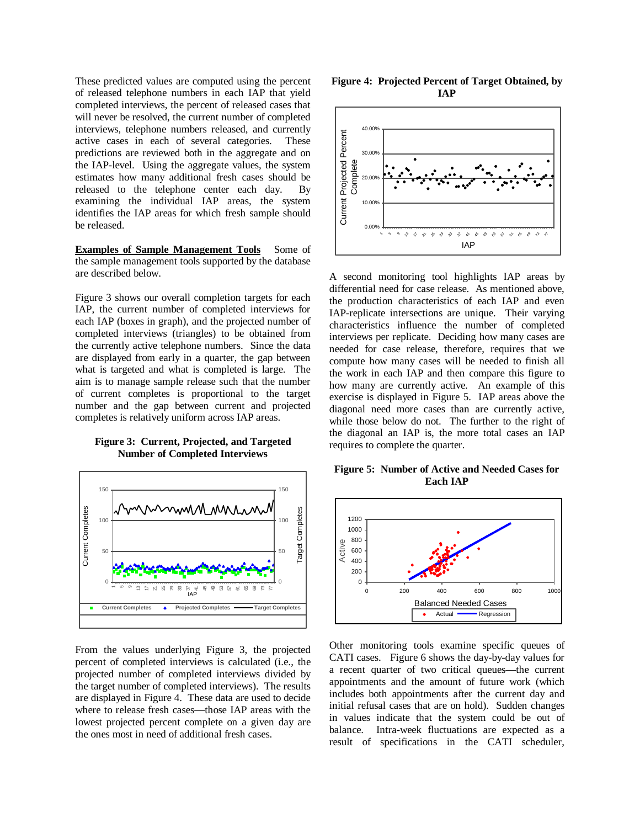of released telephone numbers in each IAP that yield **IAP**  completed interviews, the percent of released cases that will never be resolved, the current number of completed interviews, telephone numbers released, and currently active cases in each of several categories. These predictions are reviewed both in the aggregate and on the IAP-level. Using the aggregate values, the system estimates how many additional fresh cases should be released to the telephone center each day. By examining the individual IAP areas, the system identifies the IAP areas for which fresh sample should be released.

**Examples of Sample Management Tools** Some of the sample management tools supported by the database are described below.

Figure 3 shows our overall completion targets for each IAP, the current number of completed interviews for each IAP (boxes in graph), and the projected number of completed interviews (triangles) to be obtained from the currently active telephone numbers. Since the data the currently active telephone numbers. Since the data a needed for case release, therefore, requires that we are displayed from early in a quarter, the gap between compute how many cases will be needed to finish all what is targeted and what is completed is large. The aim is to manage sample release such that the number of current completes is proportional to the target number and the gap between current and projected number and the gap between current and projected diagonal need more cases than are currently active, completes is relatively uniform across IAP areas.





From the values underlying Figure 3, the projected percent of completed interviews is calculated (i.e., the projected number of completed interviews divided by the target number of completed interviews). The results are displayed in Figure 4. These data are used to decide where to release fresh cases— those IAP areas with the lowest projected percent complete on a given day are the ones most in need of additional fresh cases.

These predicted values are computed using the percent **Figure 4: Projected Percent of Target Obtained, by** 



A second monitoring tool highlights IAP areas by differential need for case release. As mentioned above, the production characteristics of each IAP and even IAP-replicate intersections are unique. Their varying characteristics influence the number of completed interviews per replicate. Deciding how many cases are compute how many cases will be needed to finish all the work in each IAP and then compare this figure to how many are currently active. An example of this exercise is displayed in Figure 5. IAP areas above the while those below do not. The further to the right of the diagonal an IAP is, the more total cases an IAP requires to complete the quarter.

**Figure 5: Number of Active and Needed Cases for Each IAP** 



Other monitoring tools examine specific queues of CATI cases. Figure 6 shows the day-by-day values for a recent quarter of two critical queues— the current appointments and the amount of future work (which includes both appointments after the current day and initial refusal cases that are on hold). Sudden changes in values indicate that the system could be out of balance. Intra-week fluctuations are expected as a result of specifications in the CATI scheduler,